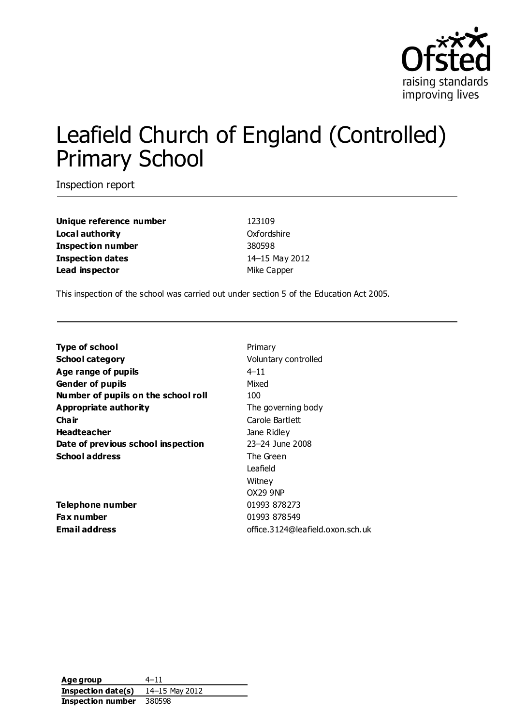

# Leafield Church of England (Controlled) Primary School

Inspection report

**Unique reference number** 123109 **Local authority** Oxfordshire **Inspection number** 380598 **Inspection dates** 14–15 May 2012 **Lead inspector** Mike Capper

This inspection of the school was carried out under section 5 of the Education Act 2005.

| <b>Type of school</b>               | Primary              |
|-------------------------------------|----------------------|
| <b>School category</b>              | Voluntary controlled |
| Age range of pupils                 | $4 - 11$             |
| <b>Gender of pupils</b>             | Mixed                |
| Number of pupils on the school roll | 100                  |
| Appropriate authority               | The governing body   |
| Cha ir                              | Carole Bartlett      |
| <b>Headteacher</b>                  | Jane Ridley          |
| Date of previous school inspection  | 23-24 June 2008      |
| <b>School address</b>               | The Green            |
|                                     | Leafield             |
|                                     | Witney               |
|                                     | OX29 9NP             |
| Telephone number                    | 01993 878273         |

**Fax number** 01993 878549 **Email address** office.3124@leafield.oxon.sch.uk

**ng body** 

**Age group** 4–11 **Inspection date(s)** 14–15 May 2012 **Inspection number** 380598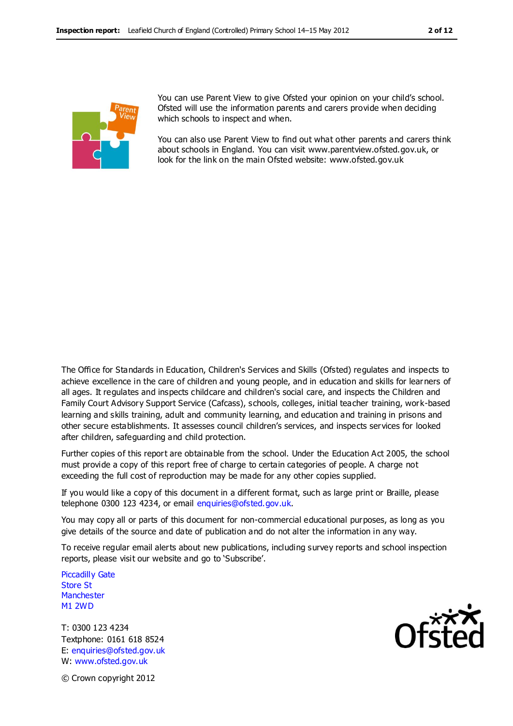

You can use Parent View to give Ofsted your opinion on your child's school. Ofsted will use the information parents and carers provide when deciding which schools to inspect and when.

You can also use Parent View to find out what other parents and carers think about schools in England. You can visit www.parentview.ofsted.gov.uk, or look for the link on the main Ofsted website: www.ofsted.gov.uk

The Office for Standards in Education, Children's Services and Skills (Ofsted) regulates and inspects to achieve excellence in the care of children and young people, and in education and skills for learners of all ages. It regulates and inspects childcare and children's social care, and inspects the Children and Family Court Advisory Support Service (Cafcass), schools, colleges, initial teacher training, work-based learning and skills training, adult and community learning, and education and training in prisons and other secure establishments. It assesses council children's services, and inspects services for looked after children, safeguarding and child protection.

Further copies of this report are obtainable from the school. Under the Education Act 2005, the school must provide a copy of this report free of charge to certain categories of people. A charge not exceeding the full cost of reproduction may be made for any other copies supplied.

If you would like a copy of this document in a different format, such as large print or Braille, please telephone 0300 123 4234, or email enquiries@ofsted.gov.uk.

You may copy all or parts of this document for non-commercial educational purposes, as long as you give details of the source and date of publication and do not alter the information in any way.

To receive regular email alerts about new publications, including survey reports and school inspection reports, please visit our website and go to 'Subscribe'.

Piccadilly Gate Store St **Manchester** M1 2WD

T: 0300 123 4234 Textphone: 0161 618 8524 E: enquiries@ofsted.gov.uk W: www.ofsted.gov.uk



© Crown copyright 2012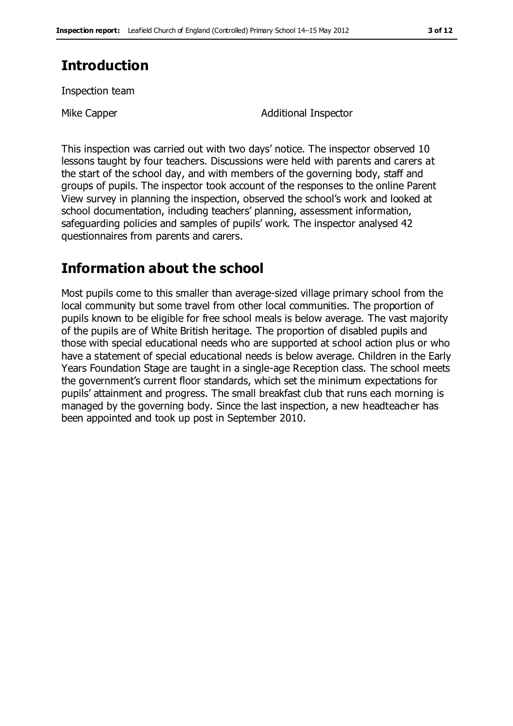### **Introduction**

Inspection team

Mike Capper **Additional Inspector** 

This inspection was carried out with two days' notice. The inspector observed 10 lessons taught by four teachers. Discussions were held with parents and carers at the start of the school day, and with members of the governing body, staff and groups of pupils. The inspector took account of the responses to the online Parent View survey in planning the inspection, observed the school's work and looked at school documentation, including teachers' planning, assessment information, safeguarding policies and samples of pupils' work. The inspector analysed 42 questionnaires from parents and carers.

### **Information about the school**

Most pupils come to this smaller than average-sized village primary school from the local community but some travel from other local communities. The proportion of pupils known to be eligible for free school meals is below average. The vast majority of the pupils are of White British heritage. The proportion of disabled pupils and those with special educational needs who are supported at school action plus or who have a statement of special educational needs is below average. Children in the Early Years Foundation Stage are taught in a single-age Reception class. The school meets the government's current floor standards, which set the minimum expectations for pupils' attainment and progress. The small breakfast club that runs each morning is managed by the governing body. Since the last inspection, a new headteacher has been appointed and took up post in September 2010.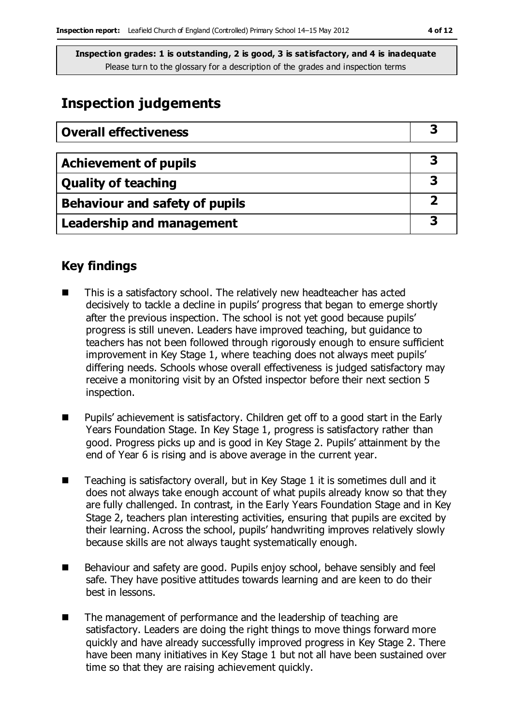### **Inspection judgements**

| <b>Overall effectiveness</b>     |  |
|----------------------------------|--|
|                                  |  |
| <b>Achievement of pupils</b>     |  |
| <b>Quality of teaching</b>       |  |
| Behaviour and safety of pupils   |  |
| <b>Leadership and management</b> |  |

### **Key findings**

- This is a satisfactory school. The relatively new headteacher has acted decisively to tackle a decline in pupils' progress that began to emerge shortly after the previous inspection. The school is not yet good because pupils' progress is still uneven. Leaders have improved teaching, but guidance to teachers has not been followed through rigorously enough to ensure sufficient improvement in Key Stage 1, where teaching does not always meet pupils' differing needs. Schools whose overall effectiveness is judged satisfactory may receive a monitoring visit by an Ofsted inspector before their next section 5 inspection.
- Pupils' achievement is satisfactory. Children get off to a good start in the Early Years Foundation Stage. In Key Stage 1, progress is satisfactory rather than good. Progress picks up and is good in Key Stage 2. Pupils' attainment by the end of Year 6 is rising and is above average in the current year.
- $\blacksquare$  Teaching is satisfactory overall, but in Key Stage 1 it is sometimes dull and it does not always take enough account of what pupils already know so that they are fully challenged. In contrast, in the Early Years Foundation Stage and in Key Stage 2, teachers plan interesting activities, ensuring that pupils are excited by their learning. Across the school, pupils' handwriting improves relatively slowly because skills are not always taught systematically enough.
- Behaviour and safety are good. Pupils enjoy school, behave sensibly and feel safe. They have positive attitudes towards learning and are keen to do their best in lessons.
- The management of performance and the leadership of teaching are satisfactory. Leaders are doing the right things to move things forward more quickly and have already successfully improved progress in Key Stage 2. There have been many initiatives in Key Stage 1 but not all have been sustained over time so that they are raising achievement quickly.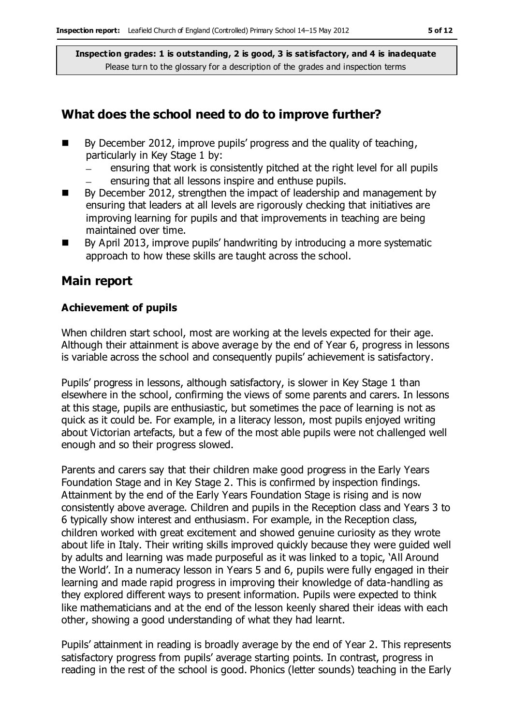### **What does the school need to do to improve further?**

- $\blacksquare$  By December 2012, improve pupils' progress and the quality of teaching, particularly in Key Stage 1 by:
	- ensuring that work is consistently pitched at the right level for all pupils ensuring that all lessons inspire and enthuse pupils.
- By December 2012, strengthen the impact of leadership and management by ensuring that leaders at all levels are rigorously checking that initiatives are improving learning for pupils and that improvements in teaching are being maintained over time.
- By April 2013, improve pupils' handwriting by introducing a more systematic approach to how these skills are taught across the school.

### **Main report**

#### **Achievement of pupils**

When children start school, most are working at the levels expected for their age. Although their attainment is above average by the end of Year 6, progress in lessons is variable across the school and consequently pupils' achievement is satisfactory.

Pupils' progress in lessons, although satisfactory, is slower in Key Stage 1 than elsewhere in the school, confirming the views of some parents and carers. In lessons at this stage, pupils are enthusiastic, but sometimes the pace of learning is not as quick as it could be. For example, in a literacy lesson, most pupils enjoyed writing about Victorian artefacts, but a few of the most able pupils were not challenged well enough and so their progress slowed.

Parents and carers say that their children make good progress in the Early Years Foundation Stage and in Key Stage 2. This is confirmed by inspection findings. Attainment by the end of the Early Years Foundation Stage is rising and is now consistently above average. Children and pupils in the Reception class and Years 3 to 6 typically show interest and enthusiasm. For example, in the Reception class, children worked with great excitement and showed genuine curiosity as they wrote about life in Italy. Their writing skills improved quickly because they were guided well by adults and learning was made purposeful as it was linked to a topic, 'All Around the World'. In a numeracy lesson in Years 5 and 6, pupils were fully engaged in their learning and made rapid progress in improving their knowledge of data-handling as they explored different ways to present information. Pupils were expected to think like mathematicians and at the end of the lesson keenly shared their ideas with each other, showing a good understanding of what they had learnt.

Pupils' attainment in reading is broadly average by the end of Year 2. This represents satisfactory progress from pupils' average starting points. In contrast, progress in reading in the rest of the school is good. Phonics (letter sounds) teaching in the Early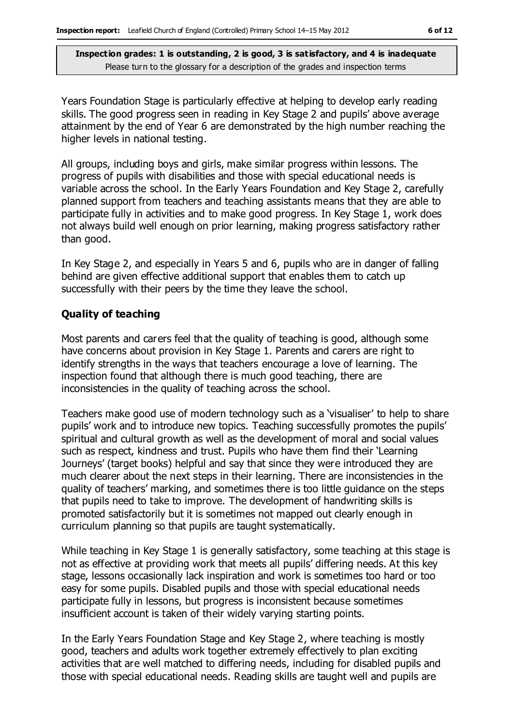Years Foundation Stage is particularly effective at helping to develop early reading skills. The good progress seen in reading in Key Stage 2 and pupils' above average attainment by the end of Year 6 are demonstrated by the high number reaching the higher levels in national testing.

All groups, including boys and girls, make similar progress within lessons. The progress of pupils with disabilities and those with special educational needs is variable across the school. In the Early Years Foundation and Key Stage 2, carefully planned support from teachers and teaching assistants means that they are able to participate fully in activities and to make good progress. In Key Stage 1, work does not always build well enough on prior learning, making progress satisfactory rather than good.

In Key Stage 2, and especially in Years 5 and 6, pupils who are in danger of falling behind are given effective additional support that enables them to catch up successfully with their peers by the time they leave the school.

### **Quality of teaching**

Most parents and carers feel that the quality of teaching is good, although some have concerns about provision in Key Stage 1. Parents and carers are right to identify strengths in the ways that teachers encourage a love of learning. The inspection found that although there is much good teaching, there are inconsistencies in the quality of teaching across the school.

Teachers make good use of modern technology such as a 'visualiser' to help to share pupils' work and to introduce new topics. Teaching successfully promotes the pupils' spiritual and cultural growth as well as the development of moral and social values such as respect, kindness and trust. Pupils who have them find their 'Learning Journeys' (target books) helpful and say that since they were introduced they are much clearer about the next steps in their learning. There are inconsistencies in the quality of teachers' marking, and sometimes there is too little guidance on the steps that pupils need to take to improve. The development of handwriting skills is promoted satisfactorily but it is sometimes not mapped out clearly enough in curriculum planning so that pupils are taught systematically.

While teaching in Key Stage 1 is generally satisfactory, some teaching at this stage is not as effective at providing work that meets all pupils' differing needs. At this key stage, lessons occasionally lack inspiration and work is sometimes too hard or too easy for some pupils. Disabled pupils and those with special educational needs participate fully in lessons, but progress is inconsistent because sometimes insufficient account is taken of their widely varying starting points.

In the Early Years Foundation Stage and Key Stage 2, where teaching is mostly good, teachers and adults work together extremely effectively to plan exciting activities that are well matched to differing needs, including for disabled pupils and those with special educational needs. Reading skills are taught well and pupils are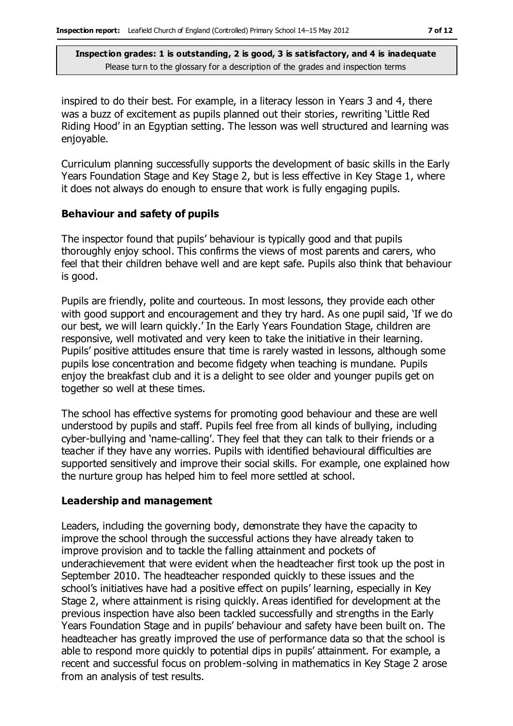inspired to do their best. For example, in a literacy lesson in Years 3 and 4, there was a buzz of excitement as pupils planned out their stories, rewriting 'Little Red Riding Hood' in an Egyptian setting. The lesson was well structured and learning was enjoyable.

Curriculum planning successfully supports the development of basic skills in the Early Years Foundation Stage and Key Stage 2, but is less effective in Key Stage 1, where it does not always do enough to ensure that work is fully engaging pupils.

#### **Behaviour and safety of pupils**

The inspector found that pupils' behaviour is typically good and that pupils thoroughly enjoy school. This confirms the views of most parents and carers, who feel that their children behave well and are kept safe. Pupils also think that behaviour is good.

Pupils are friendly, polite and courteous. In most lessons, they provide each other with good support and encouragement and they try hard. As one pupil said, 'If we do our best, we will learn quickly.' In the Early Years Foundation Stage, children are responsive, well motivated and very keen to take the initiative in their learning. Pupils' positive attitudes ensure that time is rarely wasted in lessons, although some pupils lose concentration and become fidgety when teaching is mundane. Pupils enjoy the breakfast club and it is a delight to see older and younger pupils get on together so well at these times.

The school has effective systems for promoting good behaviour and these are well understood by pupils and staff. Pupils feel free from all kinds of bullying, including cyber-bullying and 'name-calling'. They feel that they can talk to their friends or a teacher if they have any worries. Pupils with identified behavioural difficulties are supported sensitively and improve their social skills. For example, one explained how the nurture group has helped him to feel more settled at school.

#### **Leadership and management**

Leaders, including the governing body, demonstrate they have the capacity to improve the school through the successful actions they have already taken to improve provision and to tackle the falling attainment and pockets of underachievement that were evident when the headteacher first took up the post in September 2010. The headteacher responded quickly to these issues and the school's initiatives have had a positive effect on pupils' learning, especially in Key Stage 2, where attainment is rising quickly. Areas identified for development at the previous inspection have also been tackled successfully and strengths in the Early Years Foundation Stage and in pupils' behaviour and safety have been built on. The headteacher has greatly improved the use of performance data so that the school is able to respond more quickly to potential dips in pupils' attainment. For example, a recent and successful focus on problem-solving in mathematics in Key Stage 2 arose from an analysis of test results.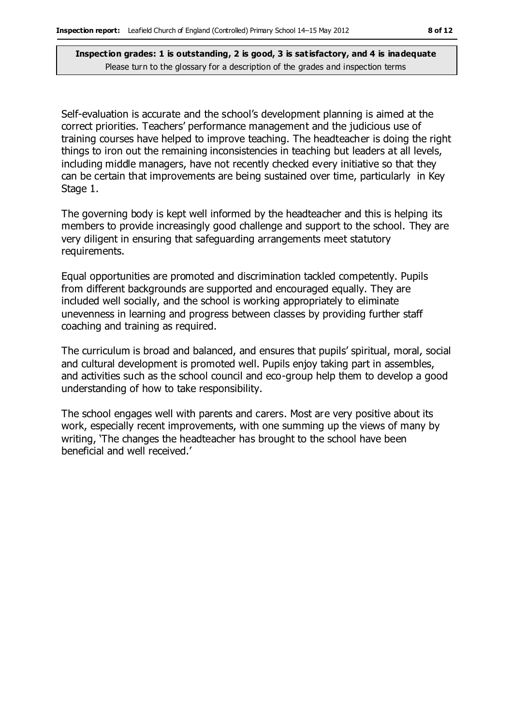Self-evaluation is accurate and the school's development planning is aimed at the correct priorities. Teachers' performance management and the judicious use of training courses have helped to improve teaching. The headteacher is doing the right things to iron out the remaining inconsistencies in teaching but leaders at all levels, including middle managers, have not recently checked every initiative so that they can be certain that improvements are being sustained over time, particularly in Key Stage 1.

The governing body is kept well informed by the headteacher and this is helping its members to provide increasingly good challenge and support to the school. They are very diligent in ensuring that safeguarding arrangements meet statutory requirements.

Equal opportunities are promoted and discrimination tackled competently. Pupils from different backgrounds are supported and encouraged equally. They are included well socially, and the school is working appropriately to eliminate unevenness in learning and progress between classes by providing further staff coaching and training as required.

The curriculum is broad and balanced, and ensures that pupils' spiritual, moral, social and cultural development is promoted well. Pupils enjoy taking part in assembles, and activities such as the school council and eco-group help them to develop a good understanding of how to take responsibility.

The school engages well with parents and carers. Most are very positive about its work, especially recent improvements, with one summing up the views of many by writing, 'The changes the headteacher has brought to the school have been beneficial and well received.'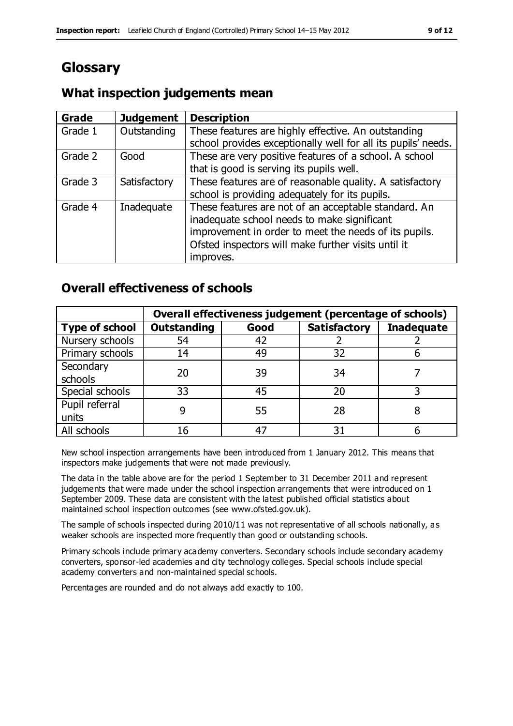## **Glossary**

### **What inspection judgements mean**

| Grade   | <b>Judgement</b> | <b>Description</b>                                            |
|---------|------------------|---------------------------------------------------------------|
| Grade 1 | Outstanding      | These features are highly effective. An outstanding           |
|         |                  | school provides exceptionally well for all its pupils' needs. |
| Grade 2 | Good             | These are very positive features of a school. A school        |
|         |                  | that is good is serving its pupils well.                      |
| Grade 3 | Satisfactory     | These features are of reasonable quality. A satisfactory      |
|         |                  | school is providing adequately for its pupils.                |
| Grade 4 | Inadequate       | These features are not of an acceptable standard. An          |
|         |                  | inadequate school needs to make significant                   |
|         |                  | improvement in order to meet the needs of its pupils.         |
|         |                  | Ofsted inspectors will make further visits until it           |
|         |                  | improves.                                                     |

### **Overall effectiveness of schools**

|                       | Overall effectiveness judgement (percentage of schools) |      |                     |                   |
|-----------------------|---------------------------------------------------------|------|---------------------|-------------------|
| <b>Type of school</b> | <b>Outstanding</b>                                      | Good | <b>Satisfactory</b> | <b>Inadequate</b> |
| Nursery schools       | 54                                                      | 42   |                     |                   |
| Primary schools       | 14                                                      | 49   | 32                  |                   |
| Secondary             | 20                                                      | 39   | 34                  |                   |
| schools               |                                                         |      |                     |                   |
| Special schools       | 33                                                      | 45   | 20                  |                   |
| Pupil referral        |                                                         | 55   | 28                  |                   |
| units                 |                                                         |      |                     |                   |
| All schools           | 16                                                      | 47   | 31                  |                   |

New school inspection arrangements have been introduced from 1 January 2012. This means that inspectors make judgements that were not made previously.

The data in the table above are for the period 1 September to 31 December 2011 and represent judgements that were made under the school inspection arrangements that were introduced on 1 September 2009. These data are consistent with the latest published official statistics about maintained school inspection outcomes (see www.ofsted.gov.uk).

The sample of schools inspected during 2010/11 was not representative of all schools nationally, as weaker schools are inspected more frequently than good or outstanding schools.

Primary schools include primary academy converters. Secondary schools include secondary academy converters, sponsor-led academies and city technology colleges. Special schools include special academy converters and non-maintained special schools.

Percentages are rounded and do not always add exactly to 100.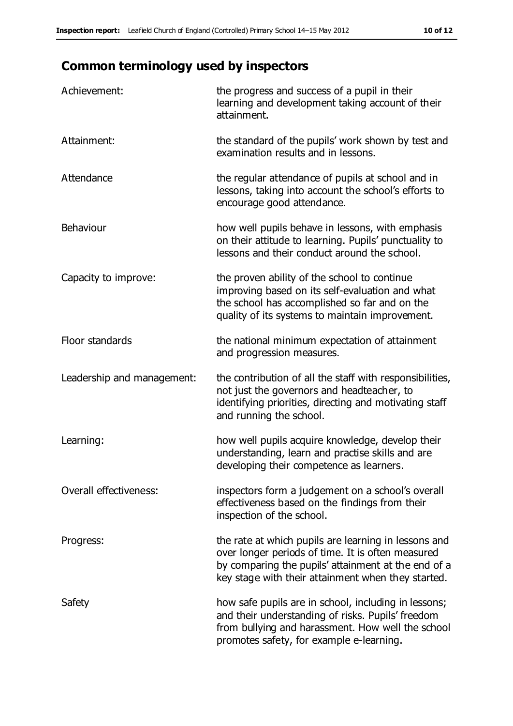## **Common terminology used by inspectors**

| Achievement:               | the progress and success of a pupil in their<br>learning and development taking account of their<br>attainment.                                                                                                        |
|----------------------------|------------------------------------------------------------------------------------------------------------------------------------------------------------------------------------------------------------------------|
| Attainment:                | the standard of the pupils' work shown by test and<br>examination results and in lessons.                                                                                                                              |
| Attendance                 | the regular attendance of pupils at school and in<br>lessons, taking into account the school's efforts to<br>encourage good attendance.                                                                                |
| Behaviour                  | how well pupils behave in lessons, with emphasis<br>on their attitude to learning. Pupils' punctuality to<br>lessons and their conduct around the school.                                                              |
| Capacity to improve:       | the proven ability of the school to continue<br>improving based on its self-evaluation and what<br>the school has accomplished so far and on the<br>quality of its systems to maintain improvement.                    |
| Floor standards            | the national minimum expectation of attainment<br>and progression measures.                                                                                                                                            |
| Leadership and management: | the contribution of all the staff with responsibilities,<br>not just the governors and headteacher, to<br>identifying priorities, directing and motivating staff<br>and running the school.                            |
| Learning:                  | how well pupils acquire knowledge, develop their<br>understanding, learn and practise skills and are<br>developing their competence as learners.                                                                       |
| Overall effectiveness:     | inspectors form a judgement on a school's overall<br>effectiveness based on the findings from their<br>inspection of the school.                                                                                       |
| Progress:                  | the rate at which pupils are learning in lessons and<br>over longer periods of time. It is often measured<br>by comparing the pupils' attainment at the end of a<br>key stage with their attainment when they started. |
| Safety                     | how safe pupils are in school, including in lessons;<br>and their understanding of risks. Pupils' freedom<br>from bullying and harassment. How well the school<br>promotes safety, for example e-learning.             |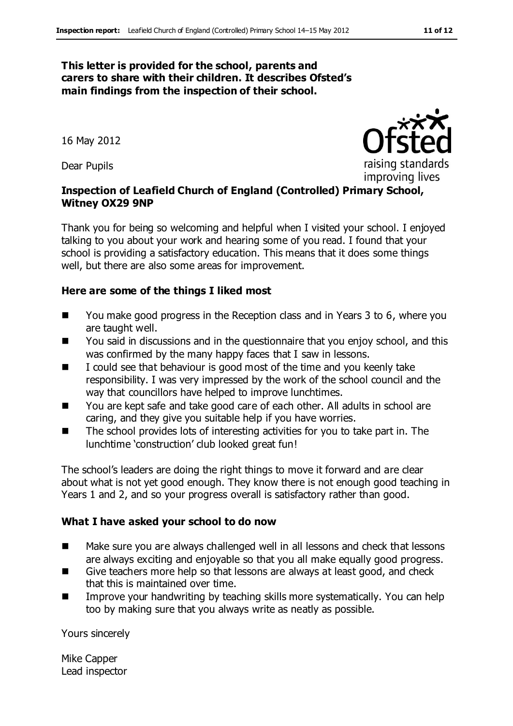#### **This letter is provided for the school, parents and carers to share with their children. It describes Ofsted's main findings from the inspection of their school.**

16 May 2012

Dear Pupils

### **Inspection of Leafield Church of England (Controlled) Primary School, Witney OX29 9NP**

Thank you for being so welcoming and helpful when I visited your school. I enjoyed talking to you about your work and hearing some of you read. I found that your school is providing a satisfactory education. This means that it does some things well, but there are also some areas for improvement.

#### **Here are some of the things I liked most**

- You make good progress in the Reception class and in Years 3 to 6, where you are taught well.
- You said in discussions and in the questionnaire that you enjoy school, and this was confirmed by the many happy faces that I saw in lessons.
- $\blacksquare$  I could see that behaviour is good most of the time and you keenly take responsibility. I was very impressed by the work of the school council and the way that councillors have helped to improve lunchtimes.
- You are kept safe and take good care of each other. All adults in school are caring, and they give you suitable help if you have worries.
- $\blacksquare$  The school provides lots of interesting activities for you to take part in. The lunchtime 'construction' club looked great fun!

The school's leaders are doing the right things to move it forward and are clear about what is not yet good enough. They know there is not enough good teaching in Years 1 and 2, and so your progress overall is satisfactory rather than good.

#### **What I have asked your school to do now**

- Make sure you are always challenged well in all lessons and check that lessons are always exciting and enjoyable so that you all make equally good progress.
- Give teachers more help so that lessons are always at least good, and check that this is maintained over time.
- **IMPROVE 1988** Improve your handwriting by teaching skills more systematically. You can help too by making sure that you always write as neatly as possible.

Yours sincerely

Mike Capper Lead inspector